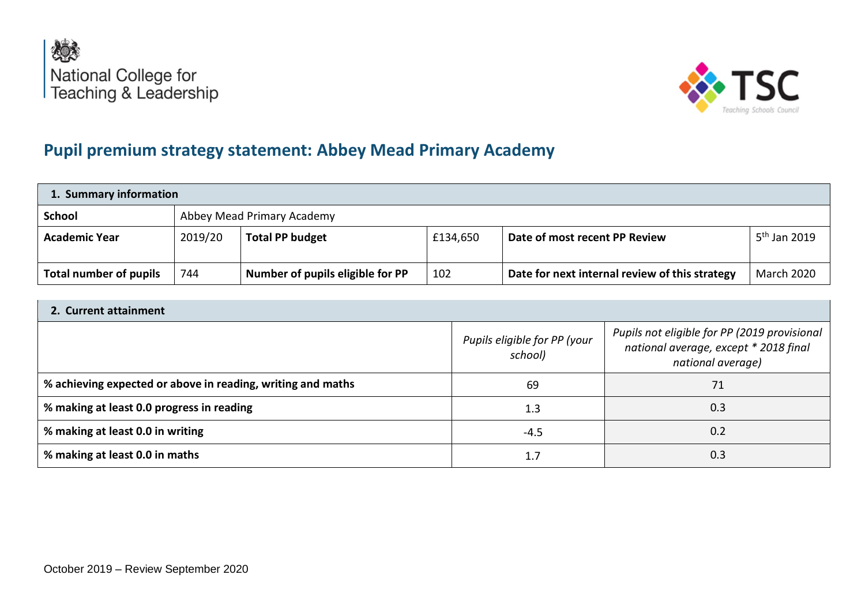



# **Pupil premium strategy statement: Abbey Mead Primary Academy**

| 1. Summary information |         |                                  |          |                                                |                          |
|------------------------|---------|----------------------------------|----------|------------------------------------------------|--------------------------|
| <b>School</b>          |         | Abbey Mead Primary Academy       |          |                                                |                          |
| <b>Academic Year</b>   | 2019/20 | <b>Total PP budget</b>           | £134,650 | Date of most recent PP Review                  | 5 <sup>th</sup> Jan 2019 |
| Total number of pupils | 744     | Number of pupils eligible for PP | 102      | Date for next internal review of this strategy | <b>March 2020</b>        |

### **2. Current attainment**

|                                                             | Pupils eligible for PP (your<br>school) | Pupils not eligible for PP (2019 provisional<br>national average, except * 2018 final<br>national average) |
|-------------------------------------------------------------|-----------------------------------------|------------------------------------------------------------------------------------------------------------|
| % achieving expected or above in reading, writing and maths | 69                                      | 71                                                                                                         |
| % making at least 0.0 progress in reading                   | 1.3                                     | 0.3                                                                                                        |
| % making at least 0.0 in writing                            | -4.5                                    | 0.2                                                                                                        |
| % making at least 0.0 in maths                              | 1.7                                     | 0.3                                                                                                        |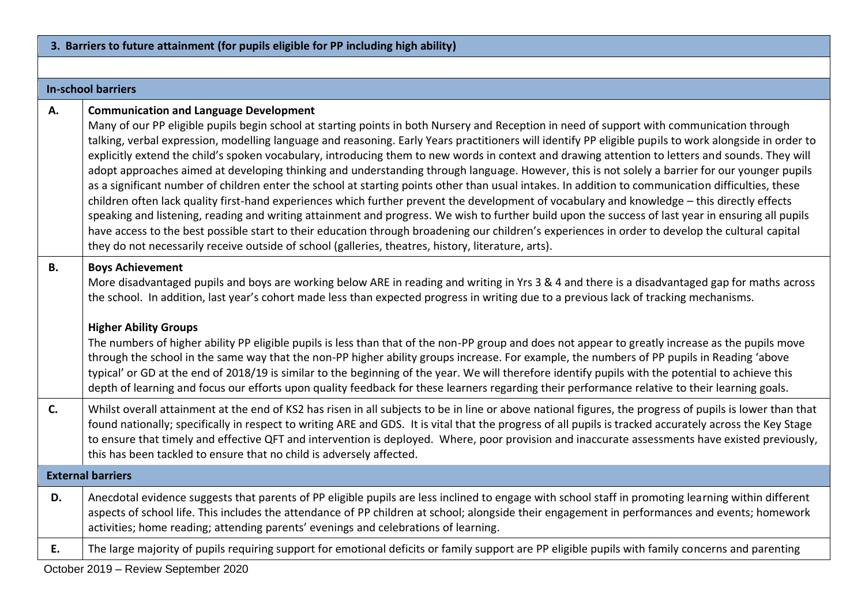| 3. Barriers to future attainment (for pupils eligible for PP including high ability) |                                                                                                                                                                                                                                                                                                                                                                                                                                                                                                                                                                                                                                                                                                                                                                                                                                                                                                                                                                                                                                                                                                                                                                                                                                                                                                                                                                                    |  |  |  |
|--------------------------------------------------------------------------------------|------------------------------------------------------------------------------------------------------------------------------------------------------------------------------------------------------------------------------------------------------------------------------------------------------------------------------------------------------------------------------------------------------------------------------------------------------------------------------------------------------------------------------------------------------------------------------------------------------------------------------------------------------------------------------------------------------------------------------------------------------------------------------------------------------------------------------------------------------------------------------------------------------------------------------------------------------------------------------------------------------------------------------------------------------------------------------------------------------------------------------------------------------------------------------------------------------------------------------------------------------------------------------------------------------------------------------------------------------------------------------------|--|--|--|
|                                                                                      |                                                                                                                                                                                                                                                                                                                                                                                                                                                                                                                                                                                                                                                                                                                                                                                                                                                                                                                                                                                                                                                                                                                                                                                                                                                                                                                                                                                    |  |  |  |
|                                                                                      | <b>In-school barriers</b>                                                                                                                                                                                                                                                                                                                                                                                                                                                                                                                                                                                                                                                                                                                                                                                                                                                                                                                                                                                                                                                                                                                                                                                                                                                                                                                                                          |  |  |  |
| А.                                                                                   | <b>Communication and Language Development</b><br>Many of our PP eligible pupils begin school at starting points in both Nursery and Reception in need of support with communication through<br>talking, verbal expression, modelling language and reasoning. Early Years practitioners will identify PP eligible pupils to work alongside in order to<br>explicitly extend the child's spoken vocabulary, introducing them to new words in context and drawing attention to letters and sounds. They will<br>adopt approaches aimed at developing thinking and understanding through language. However, this is not solely a barrier for our younger pupils<br>as a significant number of children enter the school at starting points other than usual intakes. In addition to communication difficulties, these<br>children often lack quality first-hand experiences which further prevent the development of vocabulary and knowledge - this directly effects<br>speaking and listening, reading and writing attainment and progress. We wish to further build upon the success of last year in ensuring all pupils<br>have access to the best possible start to their education through broadening our children's experiences in order to develop the cultural capital<br>they do not necessarily receive outside of school (galleries, theatres, history, literature, arts). |  |  |  |
| <b>B.</b>                                                                            | <b>Boys Achievement</b><br>More disadvantaged pupils and boys are working below ARE in reading and writing in Yrs 3 & 4 and there is a disadvantaged gap for maths across<br>the school. In addition, last year's cohort made less than expected progress in writing due to a previous lack of tracking mechanisms.<br><b>Higher Ability Groups</b><br>The numbers of higher ability PP eligible pupils is less than that of the non-PP group and does not appear to greatly increase as the pupils move<br>through the school in the same way that the non-PP higher ability groups increase. For example, the numbers of PP pupils in Reading 'above<br>typical' or GD at the end of 2018/19 is similar to the beginning of the year. We will therefore identify pupils with the potential to achieve this<br>depth of learning and focus our efforts upon quality feedback for these learners regarding their performance relative to their learning goals.                                                                                                                                                                                                                                                                                                                                                                                                                     |  |  |  |
| C.                                                                                   | Whilst overall attainment at the end of KS2 has risen in all subjects to be in line or above national figures, the progress of pupils is lower than that<br>found nationally; specifically in respect to writing ARE and GDS. It is vital that the progress of all pupils is tracked accurately across the Key Stage<br>to ensure that timely and effective QFT and intervention is deployed. Where, poor provision and inaccurate assessments have existed previously,<br>this has been tackled to ensure that no child is adversely affected.                                                                                                                                                                                                                                                                                                                                                                                                                                                                                                                                                                                                                                                                                                                                                                                                                                    |  |  |  |
|                                                                                      | <b>External barriers</b>                                                                                                                                                                                                                                                                                                                                                                                                                                                                                                                                                                                                                                                                                                                                                                                                                                                                                                                                                                                                                                                                                                                                                                                                                                                                                                                                                           |  |  |  |
| D.                                                                                   | Anecdotal evidence suggests that parents of PP eligible pupils are less inclined to engage with school staff in promoting learning within different<br>aspects of school life. This includes the attendance of PP children at school; alongside their engagement in performances and events; homework<br>activities; home reading; attending parents' evenings and celebrations of learning.                                                                                                                                                                                                                                                                                                                                                                                                                                                                                                                                                                                                                                                                                                                                                                                                                                                                                                                                                                                       |  |  |  |
| E.                                                                                   | The large majority of pupils requiring support for emotional deficits or family support are PP eligible pupils with family concerns and parenting                                                                                                                                                                                                                                                                                                                                                                                                                                                                                                                                                                                                                                                                                                                                                                                                                                                                                                                                                                                                                                                                                                                                                                                                                                  |  |  |  |
|                                                                                      | October 2019 - Review September 2020                                                                                                                                                                                                                                                                                                                                                                                                                                                                                                                                                                                                                                                                                                                                                                                                                                                                                                                                                                                                                                                                                                                                                                                                                                                                                                                                               |  |  |  |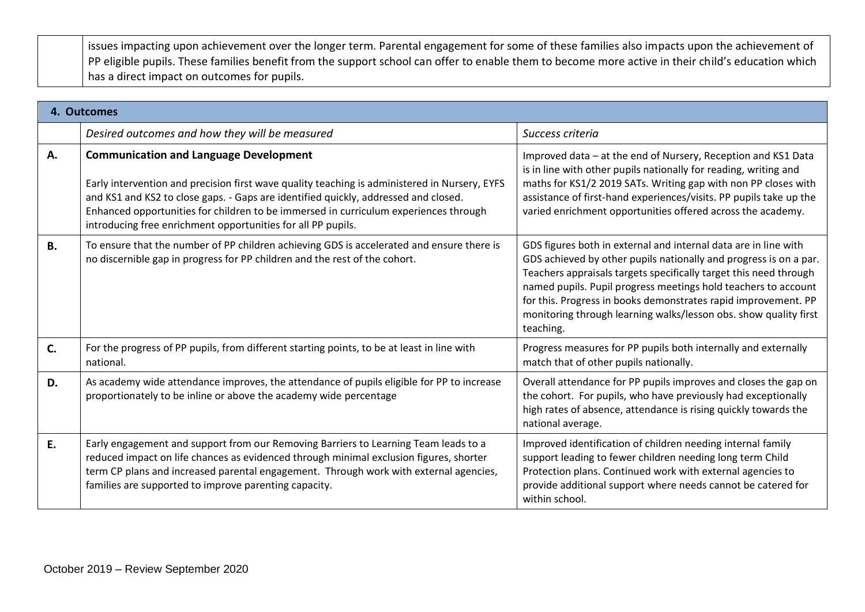issues impacting upon achievement over the longer term. Parental engagement for some of these families also impacts upon the achievement of PP eligible pupils. These families benefit from the support school can offer to enable them to become more active in their child's education which has a direct impact on outcomes for pupils.

|           | 4. Outcomes                                                                                                                                                                                                                                                                                                                                                                                   |                                                                                                                                                                                                                                                                                                                                                                                                                                |
|-----------|-----------------------------------------------------------------------------------------------------------------------------------------------------------------------------------------------------------------------------------------------------------------------------------------------------------------------------------------------------------------------------------------------|--------------------------------------------------------------------------------------------------------------------------------------------------------------------------------------------------------------------------------------------------------------------------------------------------------------------------------------------------------------------------------------------------------------------------------|
|           | Desired outcomes and how they will be measured                                                                                                                                                                                                                                                                                                                                                | Success criteria                                                                                                                                                                                                                                                                                                                                                                                                               |
| Α.        | <b>Communication and Language Development</b><br>Early intervention and precision first wave quality teaching is administered in Nursery, EYFS<br>and KS1 and KS2 to close gaps. - Gaps are identified quickly, addressed and closed.<br>Enhanced opportunities for children to be immersed in curriculum experiences through<br>introducing free enrichment opportunities for all PP pupils. | Improved data - at the end of Nursery, Reception and KS1 Data<br>is in line with other pupils nationally for reading, writing and<br>maths for KS1/2 2019 SATs. Writing gap with non PP closes with<br>assistance of first-hand experiences/visits. PP pupils take up the<br>varied enrichment opportunities offered across the academy.                                                                                       |
| <b>B.</b> | To ensure that the number of PP children achieving GDS is accelerated and ensure there is<br>no discernible gap in progress for PP children and the rest of the cohort.                                                                                                                                                                                                                       | GDS figures both in external and internal data are in line with<br>GDS achieved by other pupils nationally and progress is on a par.<br>Teachers appraisals targets specifically target this need through<br>named pupils. Pupil progress meetings hold teachers to account<br>for this. Progress in books demonstrates rapid improvement. PP<br>monitoring through learning walks/lesson obs. show quality first<br>teaching. |
| C.        | For the progress of PP pupils, from different starting points, to be at least in line with<br>national.                                                                                                                                                                                                                                                                                       | Progress measures for PP pupils both internally and externally<br>match that of other pupils nationally.                                                                                                                                                                                                                                                                                                                       |
| D.        | As academy wide attendance improves, the attendance of pupils eligible for PP to increase<br>proportionately to be inline or above the academy wide percentage                                                                                                                                                                                                                                | Overall attendance for PP pupils improves and closes the gap on<br>the cohort. For pupils, who have previously had exceptionally<br>high rates of absence, attendance is rising quickly towards the<br>national average.                                                                                                                                                                                                       |
| E.        | Early engagement and support from our Removing Barriers to Learning Team leads to a<br>reduced impact on life chances as evidenced through minimal exclusion figures, shorter<br>term CP plans and increased parental engagement. Through work with external agencies,<br>families are supported to improve parenting capacity.                                                               | Improved identification of children needing internal family<br>support leading to fewer children needing long term Child<br>Protection plans. Continued work with external agencies to<br>provide additional support where needs cannot be catered for<br>within school.                                                                                                                                                       |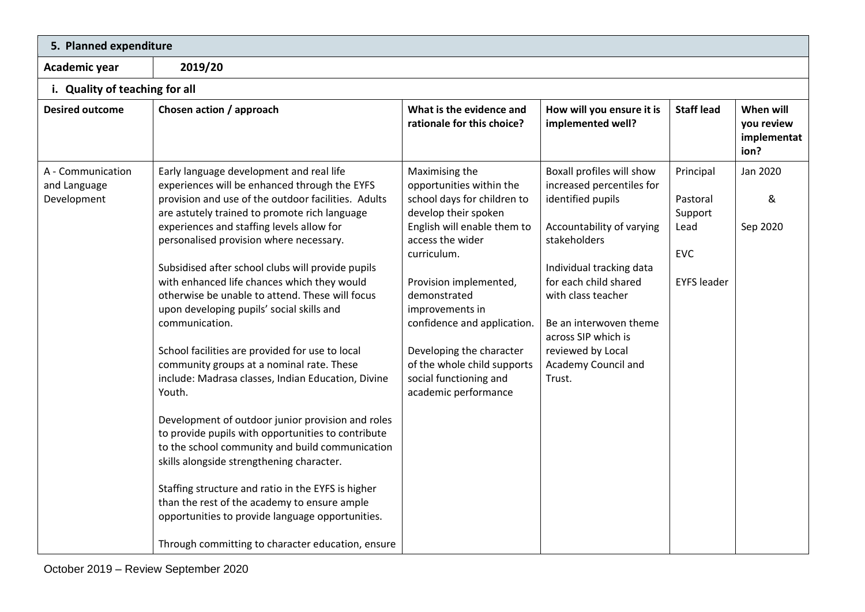| 5. Planned expenditure                           |                                                                                                                                                                                                                                                                                                                                                                                                                                                                                                                                                                                                                                                                                                                                                                                                                                                                                                                                                                                                                                                                                                           |                                                                                                                                                                                                                                                                                                                                                                              |                                                                                                                                                                                                                                                                                                            |                                                                              |                                                |
|--------------------------------------------------|-----------------------------------------------------------------------------------------------------------------------------------------------------------------------------------------------------------------------------------------------------------------------------------------------------------------------------------------------------------------------------------------------------------------------------------------------------------------------------------------------------------------------------------------------------------------------------------------------------------------------------------------------------------------------------------------------------------------------------------------------------------------------------------------------------------------------------------------------------------------------------------------------------------------------------------------------------------------------------------------------------------------------------------------------------------------------------------------------------------|------------------------------------------------------------------------------------------------------------------------------------------------------------------------------------------------------------------------------------------------------------------------------------------------------------------------------------------------------------------------------|------------------------------------------------------------------------------------------------------------------------------------------------------------------------------------------------------------------------------------------------------------------------------------------------------------|------------------------------------------------------------------------------|------------------------------------------------|
| Academic year                                    | 2019/20                                                                                                                                                                                                                                                                                                                                                                                                                                                                                                                                                                                                                                                                                                                                                                                                                                                                                                                                                                                                                                                                                                   |                                                                                                                                                                                                                                                                                                                                                                              |                                                                                                                                                                                                                                                                                                            |                                                                              |                                                |
| i. Quality of teaching for all                   |                                                                                                                                                                                                                                                                                                                                                                                                                                                                                                                                                                                                                                                                                                                                                                                                                                                                                                                                                                                                                                                                                                           |                                                                                                                                                                                                                                                                                                                                                                              |                                                                                                                                                                                                                                                                                                            |                                                                              |                                                |
| <b>Desired outcome</b>                           | Chosen action / approach                                                                                                                                                                                                                                                                                                                                                                                                                                                                                                                                                                                                                                                                                                                                                                                                                                                                                                                                                                                                                                                                                  | What is the evidence and<br>rationale for this choice?                                                                                                                                                                                                                                                                                                                       | How will you ensure it is<br>implemented well?                                                                                                                                                                                                                                                             | <b>Staff lead</b>                                                            | When will<br>you review<br>implementat<br>ion? |
| A - Communication<br>and Language<br>Development | Early language development and real life<br>experiences will be enhanced through the EYFS<br>provision and use of the outdoor facilities. Adults<br>are astutely trained to promote rich language<br>experiences and staffing levels allow for<br>personalised provision where necessary.<br>Subsidised after school clubs will provide pupils<br>with enhanced life chances which they would<br>otherwise be unable to attend. These will focus<br>upon developing pupils' social skills and<br>communication.<br>School facilities are provided for use to local<br>community groups at a nominal rate. These<br>include: Madrasa classes, Indian Education, Divine<br>Youth.<br>Development of outdoor junior provision and roles<br>to provide pupils with opportunities to contribute<br>to the school community and build communication<br>skills alongside strengthening character.<br>Staffing structure and ratio in the EYFS is higher<br>than the rest of the academy to ensure ample<br>opportunities to provide language opportunities.<br>Through committing to character education, ensure | Maximising the<br>opportunities within the<br>school days for children to<br>develop their spoken<br>English will enable them to<br>access the wider<br>curriculum.<br>Provision implemented,<br>demonstrated<br>improvements in<br>confidence and application.<br>Developing the character<br>of the whole child supports<br>social functioning and<br>academic performance | Boxall profiles will show<br>increased percentiles for<br>identified pupils<br>Accountability of varying<br>stakeholders<br>Individual tracking data<br>for each child shared<br>with class teacher<br>Be an interwoven theme<br>across SIP which is<br>reviewed by Local<br>Academy Council and<br>Trust. | Principal<br>Pastoral<br>Support<br>Lead<br><b>EVC</b><br><b>EYFS leader</b> | Jan 2020<br>&<br>Sep 2020                      |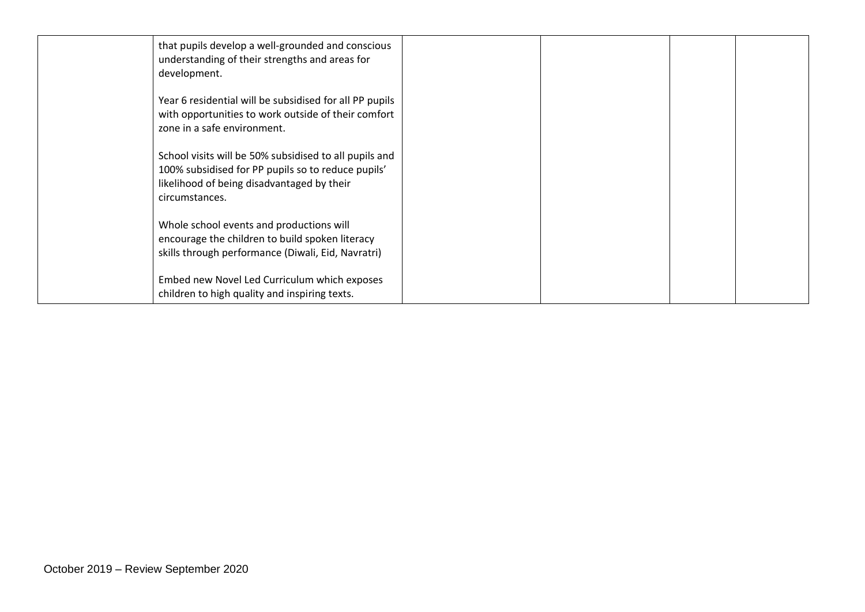| that pupils develop a well-grounded and conscious<br>understanding of their strengths and areas for<br>development.                                                          |  |  |
|------------------------------------------------------------------------------------------------------------------------------------------------------------------------------|--|--|
| Year 6 residential will be subsidised for all PP pupils<br>with opportunities to work outside of their comfort<br>zone in a safe environment.                                |  |  |
| School visits will be 50% subsidised to all pupils and<br>100% subsidised for PP pupils so to reduce pupils'<br>likelihood of being disadvantaged by their<br>circumstances. |  |  |
| Whole school events and productions will<br>encourage the children to build spoken literacy<br>skills through performance (Diwali, Eid, Navratri)                            |  |  |
| Embed new Novel Led Curriculum which exposes<br>children to high quality and inspiring texts.                                                                                |  |  |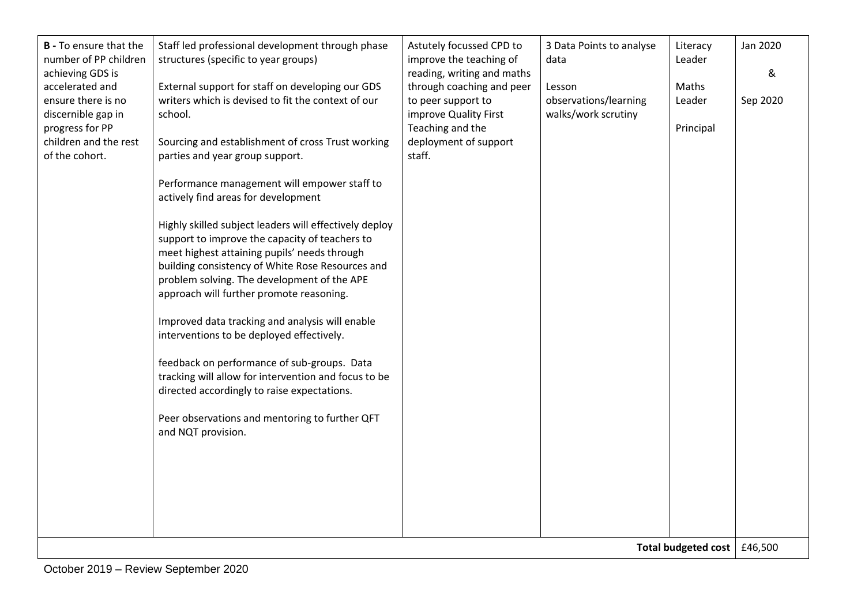| writers which is devised to fit the context of our<br>ensure there is no<br>to peer support to<br>observations/learning<br>Leader<br>Sep 2020<br>walks/work scrutiny<br>discernible gap in<br>improve Quality First<br>school.<br>progress for PP<br>Teaching and the<br>Principal<br>children and the rest<br>deployment of support<br>Sourcing and establishment of cross Trust working<br>staff.<br>of the cohort.<br>parties and year group support.<br>Performance management will empower staff to<br>actively find areas for development<br>Highly skilled subject leaders will effectively deploy<br>support to improve the capacity of teachers to<br>meet highest attaining pupils' needs through<br>building consistency of White Rose Resources and<br>problem solving. The development of the APE<br>approach will further promote reasoning.<br>Improved data tracking and analysis will enable<br>interventions to be deployed effectively.<br>feedback on performance of sub-groups. Data<br>tracking will allow for intervention and focus to be<br>directed accordingly to raise expectations.<br>Peer observations and mentoring to further QFT<br>and NQT provision. |  |
|------------------------------------------------------------------------------------------------------------------------------------------------------------------------------------------------------------------------------------------------------------------------------------------------------------------------------------------------------------------------------------------------------------------------------------------------------------------------------------------------------------------------------------------------------------------------------------------------------------------------------------------------------------------------------------------------------------------------------------------------------------------------------------------------------------------------------------------------------------------------------------------------------------------------------------------------------------------------------------------------------------------------------------------------------------------------------------------------------------------------------------------------------------------------------------------|--|
|                                                                                                                                                                                                                                                                                                                                                                                                                                                                                                                                                                                                                                                                                                                                                                                                                                                                                                                                                                                                                                                                                                                                                                                          |  |
| Total budgeted cost   £46,500                                                                                                                                                                                                                                                                                                                                                                                                                                                                                                                                                                                                                                                                                                                                                                                                                                                                                                                                                                                                                                                                                                                                                            |  |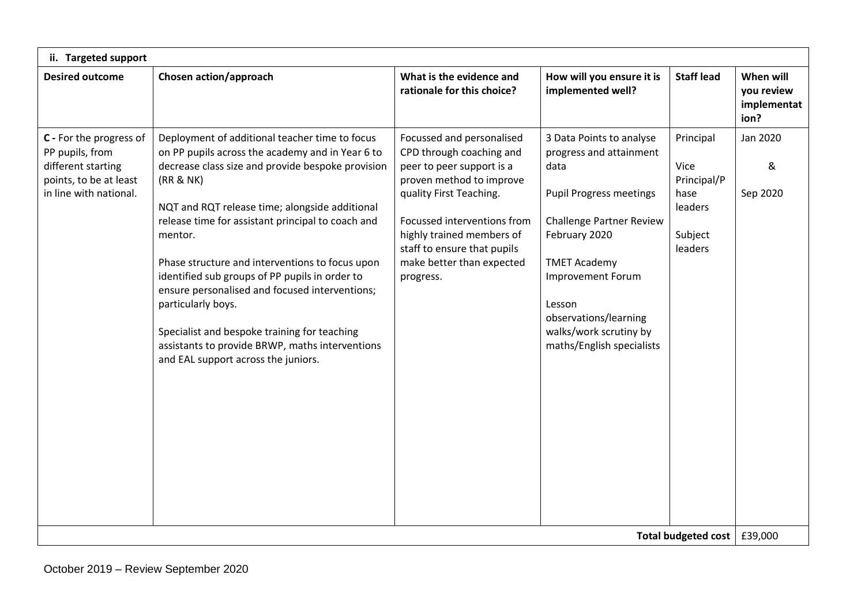| ii. Targeted support                                                                                                 |                                                                                                                                                                                                                                                                                                                                                                                                                                                                                                                                                                                                               |                                                                                                                                                                                                                                                                                |                                                                                                                                                                                                                                                                                  |                                                                           |                                                |
|----------------------------------------------------------------------------------------------------------------------|---------------------------------------------------------------------------------------------------------------------------------------------------------------------------------------------------------------------------------------------------------------------------------------------------------------------------------------------------------------------------------------------------------------------------------------------------------------------------------------------------------------------------------------------------------------------------------------------------------------|--------------------------------------------------------------------------------------------------------------------------------------------------------------------------------------------------------------------------------------------------------------------------------|----------------------------------------------------------------------------------------------------------------------------------------------------------------------------------------------------------------------------------------------------------------------------------|---------------------------------------------------------------------------|------------------------------------------------|
| <b>Desired outcome</b>                                                                                               | Chosen action/approach                                                                                                                                                                                                                                                                                                                                                                                                                                                                                                                                                                                        | What is the evidence and<br>rationale for this choice?                                                                                                                                                                                                                         | How will you ensure it is<br>implemented well?                                                                                                                                                                                                                                   | <b>Staff lead</b>                                                         | When will<br>you review<br>implementat<br>ion? |
| C - For the progress of<br>PP pupils, from<br>different starting<br>points, to be at least<br>in line with national. | Deployment of additional teacher time to focus<br>on PP pupils across the academy and in Year 6 to<br>decrease class size and provide bespoke provision<br>(RR & NK)<br>NQT and RQT release time; alongside additional<br>release time for assistant principal to coach and<br>mentor.<br>Phase structure and interventions to focus upon<br>identified sub groups of PP pupils in order to<br>ensure personalised and focused interventions;<br>particularly boys.<br>Specialist and bespoke training for teaching<br>assistants to provide BRWP, maths interventions<br>and EAL support across the juniors. | Focussed and personalised<br>CPD through coaching and<br>peer to peer support is a<br>proven method to improve<br>quality First Teaching.<br>Focussed interventions from<br>highly trained members of<br>staff to ensure that pupils<br>make better than expected<br>progress. | 3 Data Points to analyse<br>progress and attainment<br>data<br><b>Pupil Progress meetings</b><br>Challenge Partner Review<br>February 2020<br><b>TMET Academy</b><br>Improvement Forum<br>Lesson<br>observations/learning<br>walks/work scrutiny by<br>maths/English specialists | Principal<br>Vice<br>Principal/P<br>hase<br>leaders<br>Subject<br>leaders | Jan 2020<br>&<br>Sep 2020                      |
| Total budgeted cost   £39,000                                                                                        |                                                                                                                                                                                                                                                                                                                                                                                                                                                                                                                                                                                                               |                                                                                                                                                                                                                                                                                |                                                                                                                                                                                                                                                                                  |                                                                           |                                                |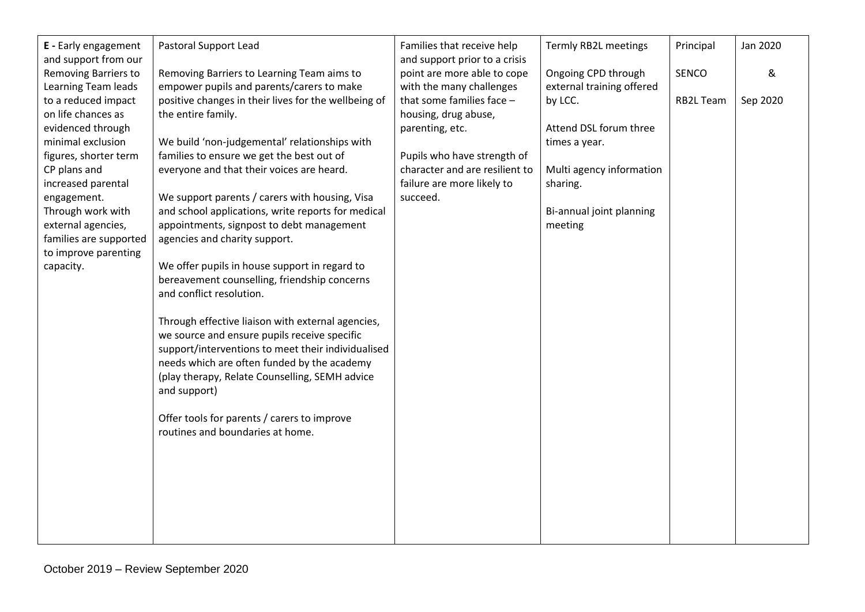| E - Early engagement                                                             | Pastoral Support Lead                                                                                                                                                                                                                                                    | Families that receive help                                                    | Termly RB2L meetings                    | Principal        | Jan 2020 |
|----------------------------------------------------------------------------------|--------------------------------------------------------------------------------------------------------------------------------------------------------------------------------------------------------------------------------------------------------------------------|-------------------------------------------------------------------------------|-----------------------------------------|------------------|----------|
| and support from our<br>Removing Barriers to                                     | Removing Barriers to Learning Team aims to                                                                                                                                                                                                                               | and support prior to a crisis<br>point are more able to cope                  | Ongoing CPD through                     | <b>SENCO</b>     | &        |
| Learning Team leads<br>to a reduced impact<br>on life chances as                 | empower pupils and parents/carers to make<br>positive changes in their lives for the wellbeing of<br>the entire family.                                                                                                                                                  | with the many challenges<br>that some families face -<br>housing, drug abuse, | external training offered<br>by LCC.    | <b>RB2L Team</b> | Sep 2020 |
| evidenced through<br>minimal exclusion<br>figures, shorter term                  | We build 'non-judgemental' relationships with<br>families to ensure we get the best out of                                                                                                                                                                               | parenting, etc.<br>Pupils who have strength of                                | Attend DSL forum three<br>times a year. |                  |          |
| CP plans and<br>increased parental                                               | everyone and that their voices are heard.                                                                                                                                                                                                                                | character and are resilient to<br>failure are more likely to                  | Multi agency information<br>sharing.    |                  |          |
| engagement.<br>Through work with<br>external agencies,<br>families are supported | We support parents / carers with housing, Visa<br>and school applications, write reports for medical<br>appointments, signpost to debt management<br>agencies and charity support.                                                                                       | succeed.                                                                      | Bi-annual joint planning<br>meeting     |                  |          |
| to improve parenting<br>capacity.                                                | We offer pupils in house support in regard to<br>bereavement counselling, friendship concerns<br>and conflict resolution.                                                                                                                                                |                                                                               |                                         |                  |          |
|                                                                                  | Through effective liaison with external agencies,<br>we source and ensure pupils receive specific<br>support/interventions to meet their individualised<br>needs which are often funded by the academy<br>(play therapy, Relate Counselling, SEMH advice<br>and support) |                                                                               |                                         |                  |          |
|                                                                                  | Offer tools for parents / carers to improve<br>routines and boundaries at home.                                                                                                                                                                                          |                                                                               |                                         |                  |          |
|                                                                                  |                                                                                                                                                                                                                                                                          |                                                                               |                                         |                  |          |
|                                                                                  |                                                                                                                                                                                                                                                                          |                                                                               |                                         |                  |          |
|                                                                                  |                                                                                                                                                                                                                                                                          |                                                                               |                                         |                  |          |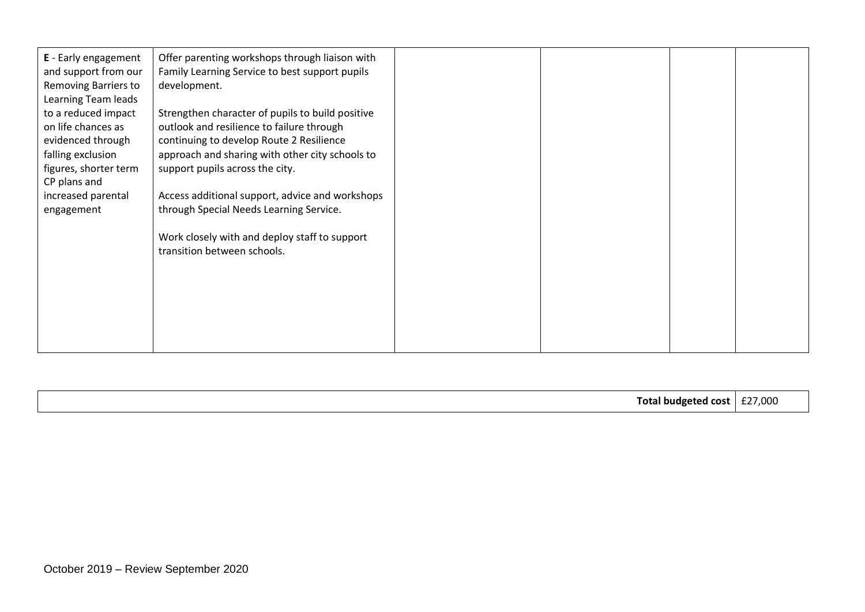| <b>E</b> - Early engagement<br>and support from our<br>Removing Barriers to<br>Learning Team leads | Offer parenting workshops through liaison with<br>Family Learning Service to best support pupils<br>development. |  |  |
|----------------------------------------------------------------------------------------------------|------------------------------------------------------------------------------------------------------------------|--|--|
| to a reduced impact                                                                                | Strengthen character of pupils to build positive                                                                 |  |  |
| on life chances as                                                                                 | outlook and resilience to failure through                                                                        |  |  |
| evidenced through<br>falling exclusion                                                             | continuing to develop Route 2 Resilience<br>approach and sharing with other city schools to                      |  |  |
| figures, shorter term                                                                              | support pupils across the city.                                                                                  |  |  |
| CP plans and                                                                                       |                                                                                                                  |  |  |
| increased parental                                                                                 | Access additional support, advice and workshops                                                                  |  |  |
| engagement                                                                                         | through Special Needs Learning Service.                                                                          |  |  |
|                                                                                                    | Work closely with and deploy staff to support<br>transition between schools.                                     |  |  |
|                                                                                                    |                                                                                                                  |  |  |
|                                                                                                    |                                                                                                                  |  |  |
|                                                                                                    |                                                                                                                  |  |  |
|                                                                                                    |                                                                                                                  |  |  |
|                                                                                                    |                                                                                                                  |  |  |

| ัก1<br>. DINGATAR<br>nc |  |
|-------------------------|--|
|-------------------------|--|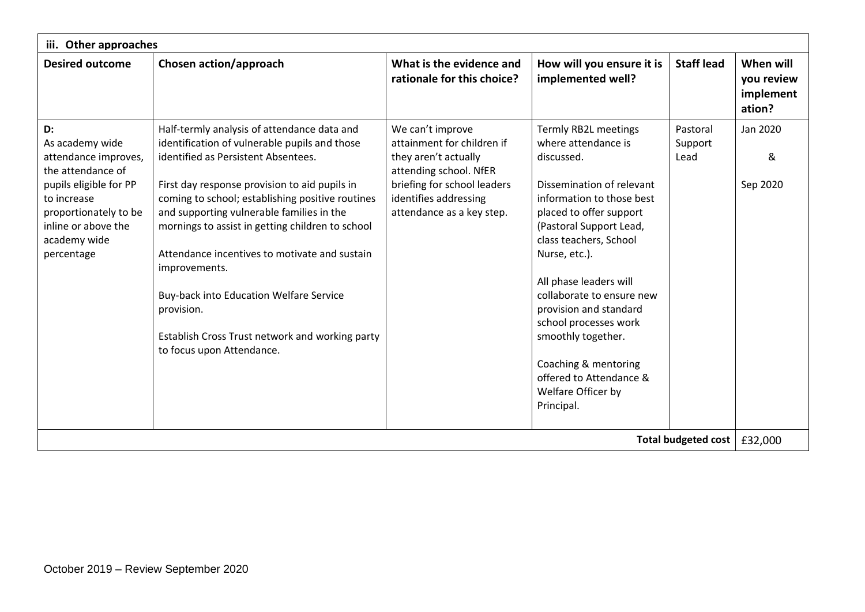| iii. Other approaches                                                                                                                                                                     |                                                                                                                                                                                                                                                                                                                                                                                                                                                                                                                                                      |                                                                                                                                                                                       |                                                                                                                                                                                                                                                                                                                                                      |                             |                                                |  |
|-------------------------------------------------------------------------------------------------------------------------------------------------------------------------------------------|------------------------------------------------------------------------------------------------------------------------------------------------------------------------------------------------------------------------------------------------------------------------------------------------------------------------------------------------------------------------------------------------------------------------------------------------------------------------------------------------------------------------------------------------------|---------------------------------------------------------------------------------------------------------------------------------------------------------------------------------------|------------------------------------------------------------------------------------------------------------------------------------------------------------------------------------------------------------------------------------------------------------------------------------------------------------------------------------------------------|-----------------------------|------------------------------------------------|--|
| <b>Desired outcome</b>                                                                                                                                                                    | Chosen action/approach                                                                                                                                                                                                                                                                                                                                                                                                                                                                                                                               | What is the evidence and<br>rationale for this choice?                                                                                                                                | How will you ensure it is<br>implemented well?                                                                                                                                                                                                                                                                                                       | <b>Staff lead</b>           | When will<br>you review<br>implement<br>ation? |  |
| D:<br>As academy wide<br>attendance improves,<br>the attendance of<br>pupils eligible for PP<br>to increase<br>proportionately to be<br>inline or above the<br>academy wide<br>percentage | Half-termly analysis of attendance data and<br>identification of vulnerable pupils and those<br>identified as Persistent Absentees.<br>First day response provision to aid pupils in<br>coming to school; establishing positive routines<br>and supporting vulnerable families in the<br>mornings to assist in getting children to school<br>Attendance incentives to motivate and sustain<br>improvements.<br>Buy-back into Education Welfare Service<br>provision.<br>Establish Cross Trust network and working party<br>to focus upon Attendance. | We can't improve<br>attainment for children if<br>they aren't actually<br>attending school. NfER<br>briefing for school leaders<br>identifies addressing<br>attendance as a key step. | Termly RB2L meetings<br>where attendance is<br>discussed.<br>Dissemination of relevant<br>information to those best<br>placed to offer support<br>(Pastoral Support Lead,<br>class teachers, School<br>Nurse, etc.).<br>All phase leaders will<br>collaborate to ensure new<br>provision and standard<br>school processes work<br>smoothly together. | Pastoral<br>Support<br>Lead | Jan 2020<br>&<br>Sep 2020                      |  |
|                                                                                                                                                                                           |                                                                                                                                                                                                                                                                                                                                                                                                                                                                                                                                                      |                                                                                                                                                                                       | Coaching & mentoring<br>offered to Attendance &<br>Welfare Officer by<br>Principal.                                                                                                                                                                                                                                                                  |                             |                                                |  |
| <b>Total budgeted cost</b>                                                                                                                                                                |                                                                                                                                                                                                                                                                                                                                                                                                                                                                                                                                                      |                                                                                                                                                                                       |                                                                                                                                                                                                                                                                                                                                                      |                             | £32,000                                        |  |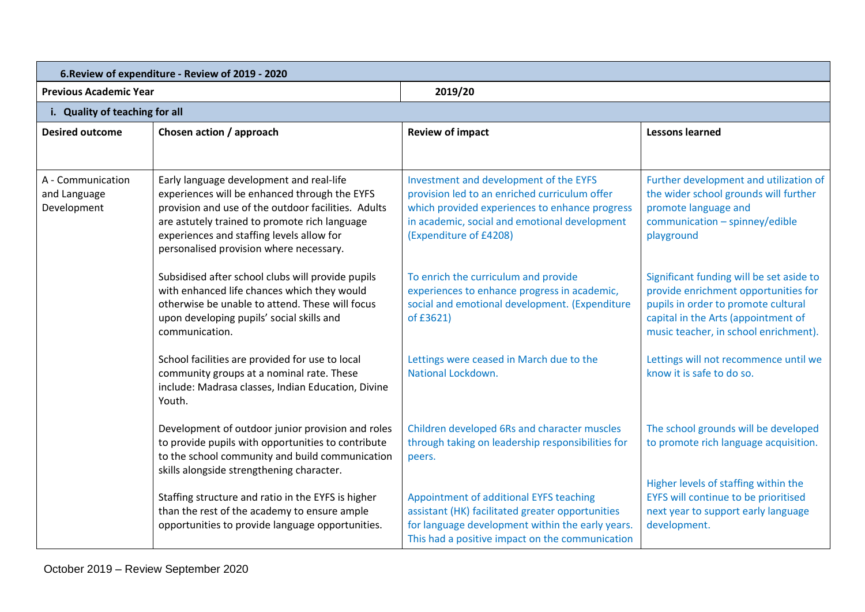| 6. Review of expenditure - Review of 2019 - 2020 |                                                                                                                                                                                                                                                                                           |                                                                                                                                                                                                                      |                                                                                                                                                                                                         |
|--------------------------------------------------|-------------------------------------------------------------------------------------------------------------------------------------------------------------------------------------------------------------------------------------------------------------------------------------------|----------------------------------------------------------------------------------------------------------------------------------------------------------------------------------------------------------------------|---------------------------------------------------------------------------------------------------------------------------------------------------------------------------------------------------------|
| <b>Previous Academic Year</b>                    |                                                                                                                                                                                                                                                                                           | 2019/20                                                                                                                                                                                                              |                                                                                                                                                                                                         |
| i. Quality of teaching for all                   |                                                                                                                                                                                                                                                                                           |                                                                                                                                                                                                                      |                                                                                                                                                                                                         |
| <b>Desired outcome</b>                           | Chosen action / approach                                                                                                                                                                                                                                                                  | <b>Review of impact</b>                                                                                                                                                                                              | <b>Lessons learned</b>                                                                                                                                                                                  |
| A - Communication<br>and Language<br>Development | Early language development and real-life<br>experiences will be enhanced through the EYFS<br>provision and use of the outdoor facilities. Adults<br>are astutely trained to promote rich language<br>experiences and staffing levels allow for<br>personalised provision where necessary. | Investment and development of the EYFS<br>provision led to an enriched curriculum offer<br>which provided experiences to enhance progress<br>in academic, social and emotional development<br>(Expenditure of £4208) | Further development and utilization of<br>the wider school grounds will further<br>promote language and<br>communication - spinney/edible<br>playground                                                 |
|                                                  | Subsidised after school clubs will provide pupils<br>with enhanced life chances which they would<br>otherwise be unable to attend. These will focus<br>upon developing pupils' social skills and<br>communication.                                                                        | To enrich the curriculum and provide<br>experiences to enhance progress in academic,<br>social and emotional development. (Expenditure<br>of £3621)                                                                  | Significant funding will be set aside to<br>provide enrichment opportunities for<br>pupils in order to promote cultural<br>capital in the Arts (appointment of<br>music teacher, in school enrichment). |
|                                                  | School facilities are provided for use to local<br>community groups at a nominal rate. These<br>include: Madrasa classes, Indian Education, Divine<br>Youth.                                                                                                                              | Lettings were ceased in March due to the<br>National Lockdown.                                                                                                                                                       | Lettings will not recommence until we<br>know it is safe to do so.                                                                                                                                      |
|                                                  | Development of outdoor junior provision and roles<br>to provide pupils with opportunities to contribute<br>to the school community and build communication<br>skills alongside strengthening character.                                                                                   | Children developed 6Rs and character muscles<br>through taking on leadership responsibilities for<br>peers.                                                                                                          | The school grounds will be developed<br>to promote rich language acquisition.                                                                                                                           |
|                                                  | Staffing structure and ratio in the EYFS is higher<br>than the rest of the academy to ensure ample<br>opportunities to provide language opportunities.                                                                                                                                    | Appointment of additional EYFS teaching<br>assistant (HK) facilitated greater opportunities<br>for language development within the early years.<br>This had a positive impact on the communication                   | Higher levels of staffing within the<br>EYFS will continue to be prioritised<br>next year to support early language<br>development.                                                                     |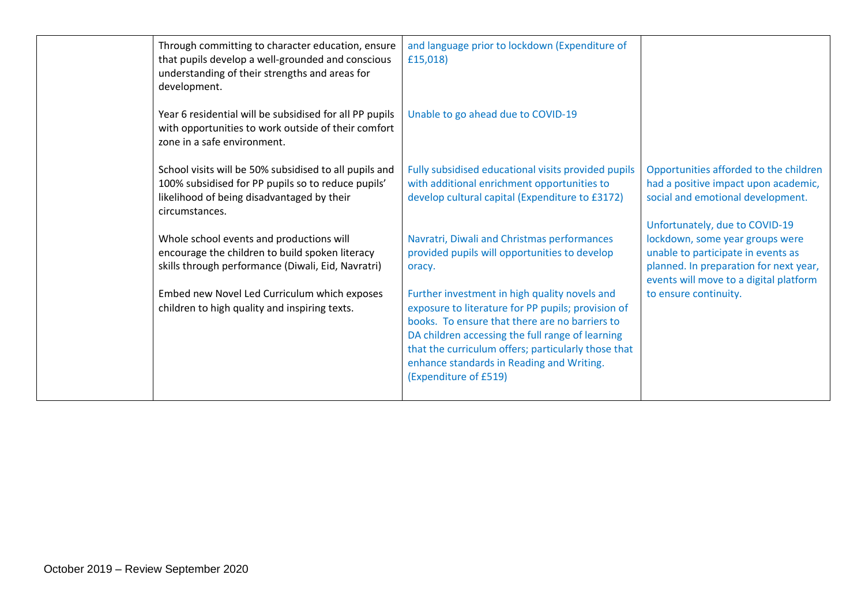| Through committing to character education, ensure<br>that pupils develop a well-grounded and conscious<br>understanding of their strengths and areas for<br>development.     | and language prior to lockdown (Expenditure of<br>£15,018)                                                                                                                                                                                                                                                                             |                                                                                                                                                           |
|------------------------------------------------------------------------------------------------------------------------------------------------------------------------------|----------------------------------------------------------------------------------------------------------------------------------------------------------------------------------------------------------------------------------------------------------------------------------------------------------------------------------------|-----------------------------------------------------------------------------------------------------------------------------------------------------------|
| Year 6 residential will be subsidised for all PP pupils<br>with opportunities to work outside of their comfort<br>zone in a safe environment.                                | Unable to go ahead due to COVID-19                                                                                                                                                                                                                                                                                                     |                                                                                                                                                           |
| School visits will be 50% subsidised to all pupils and<br>100% subsidised for PP pupils so to reduce pupils'<br>likelihood of being disadvantaged by their<br>circumstances. | Fully subsidised educational visits provided pupils<br>with additional enrichment opportunities to<br>develop cultural capital (Expenditure to £3172)                                                                                                                                                                                  | Opportunities afforded to the children<br>had a positive impact upon academic,<br>social and emotional development.<br>Unfortunately, due to COVID-19     |
| Whole school events and productions will<br>encourage the children to build spoken literacy<br>skills through performance (Diwali, Eid, Navratri)                            | Navratri, Diwali and Christmas performances<br>provided pupils will opportunities to develop<br>oracy.                                                                                                                                                                                                                                 | lockdown, some year groups were<br>unable to participate in events as<br>planned. In preparation for next year,<br>events will move to a digital platform |
| Embed new Novel Led Curriculum which exposes<br>children to high quality and inspiring texts.                                                                                | Further investment in high quality novels and<br>exposure to literature for PP pupils; provision of<br>books. To ensure that there are no barriers to<br>DA children accessing the full range of learning<br>that the curriculum offers; particularly those that<br>enhance standards in Reading and Writing.<br>(Expenditure of £519) | to ensure continuity.                                                                                                                                     |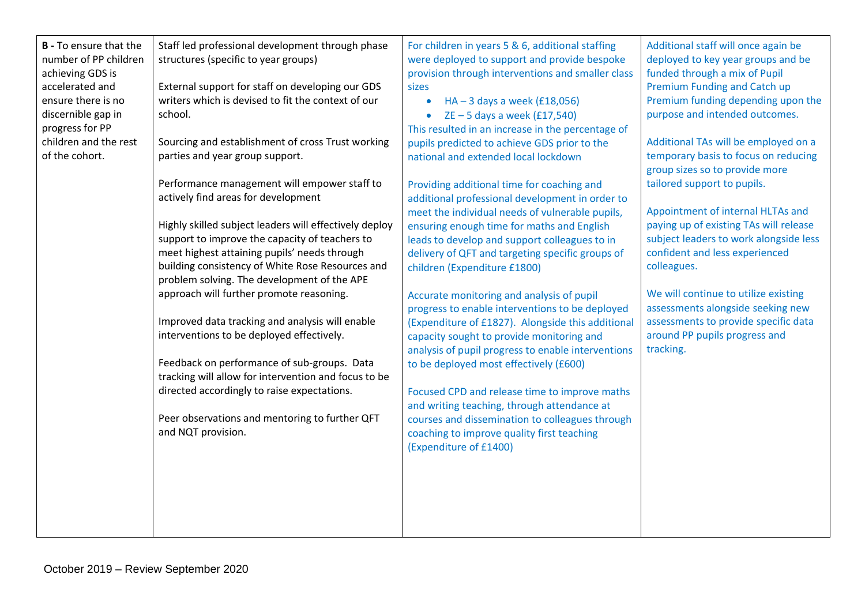| <b>B</b> - To ensure that the | Staff led professional development through phase       | For children in years 5 & 6, additional staffing   | Additional staff will once again be    |
|-------------------------------|--------------------------------------------------------|----------------------------------------------------|----------------------------------------|
| number of PP children         | structures (specific to year groups)                   | were deployed to support and provide bespoke       | deployed to key year groups and be     |
| achieving GDS is              |                                                        | provision through interventions and smaller class  | funded through a mix of Pupil          |
| accelerated and               | External support for staff on developing our GDS       | sizes                                              | <b>Premium Funding and Catch up</b>    |
| ensure there is no            | writers which is devised to fit the context of our     | $HA - 3$ days a week (£18,056)<br>$\bullet$        | Premium funding depending upon the     |
| discernible gap in            | school.                                                | $ZE - 5$ days a week $(E17,540)$                   | purpose and intended outcomes.         |
| progress for PP               |                                                        | This resulted in an increase in the percentage of  |                                        |
| children and the rest         | Sourcing and establishment of cross Trust working      | pupils predicted to achieve GDS prior to the       | Additional TAs will be employed on a   |
| of the cohort.                | parties and year group support.                        | national and extended local lockdown               | temporary basis to focus on reducing   |
|                               |                                                        |                                                    | group sizes so to provide more         |
|                               | Performance management will empower staff to           | Providing additional time for coaching and         | tailored support to pupils.            |
|                               | actively find areas for development                    | additional professional development in order to    |                                        |
|                               |                                                        | meet the individual needs of vulnerable pupils,    | Appointment of internal HLTAs and      |
|                               | Highly skilled subject leaders will effectively deploy | ensuring enough time for maths and English         | paying up of existing TAs will release |
|                               | support to improve the capacity of teachers to         | leads to develop and support colleagues to in      | subject leaders to work alongside less |
|                               | meet highest attaining pupils' needs through           | delivery of QFT and targeting specific groups of   | confident and less experienced         |
|                               | building consistency of White Rose Resources and       | children (Expenditure £1800)                       | colleagues.                            |
|                               | problem solving. The development of the APE            |                                                    |                                        |
|                               | approach will further promote reasoning.               | Accurate monitoring and analysis of pupil          | We will continue to utilize existing   |
|                               |                                                        | progress to enable interventions to be deployed    | assessments alongside seeking new      |
|                               | Improved data tracking and analysis will enable        | (Expenditure of £1827). Alongside this additional  | assessments to provide specific data   |
|                               | interventions to be deployed effectively.              | capacity sought to provide monitoring and          | around PP pupils progress and          |
|                               |                                                        | analysis of pupil progress to enable interventions | tracking.                              |
|                               | Feedback on performance of sub-groups. Data            | to be deployed most effectively (£600)             |                                        |
|                               | tracking will allow for intervention and focus to be   |                                                    |                                        |
|                               | directed accordingly to raise expectations.            | Focused CPD and release time to improve maths      |                                        |
|                               |                                                        | and writing teaching, through attendance at        |                                        |
|                               | Peer observations and mentoring to further QFT         | courses and dissemination to colleagues through    |                                        |
|                               | and NQT provision.                                     | coaching to improve quality first teaching         |                                        |
|                               |                                                        | (Expenditure of £1400)                             |                                        |
|                               |                                                        |                                                    |                                        |
|                               |                                                        |                                                    |                                        |
|                               |                                                        |                                                    |                                        |
|                               |                                                        |                                                    |                                        |
|                               |                                                        |                                                    |                                        |
|                               |                                                        |                                                    |                                        |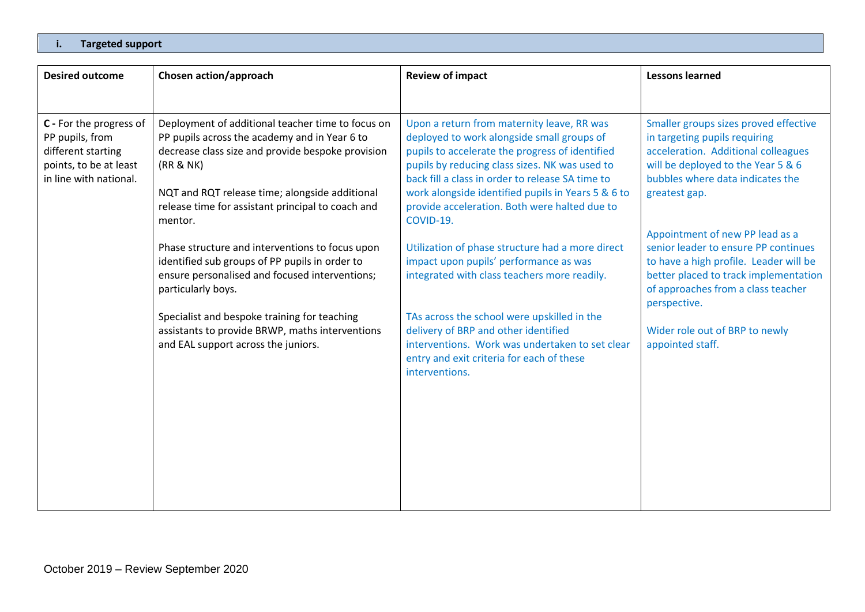#### **i. Targeted support**

| <b>Desired outcome</b>                                                                                               | Chosen action/approach                                                                                                                                                                                                                                                      | <b>Review of impact</b>                                                                                                                                                                                                                                                                                                                                  | <b>Lessons learned</b>                                                                                                                                                                                           |
|----------------------------------------------------------------------------------------------------------------------|-----------------------------------------------------------------------------------------------------------------------------------------------------------------------------------------------------------------------------------------------------------------------------|----------------------------------------------------------------------------------------------------------------------------------------------------------------------------------------------------------------------------------------------------------------------------------------------------------------------------------------------------------|------------------------------------------------------------------------------------------------------------------------------------------------------------------------------------------------------------------|
|                                                                                                                      |                                                                                                                                                                                                                                                                             |                                                                                                                                                                                                                                                                                                                                                          |                                                                                                                                                                                                                  |
| C - For the progress of<br>PP pupils, from<br>different starting<br>points, to be at least<br>in line with national. | Deployment of additional teacher time to focus on<br>PP pupils across the academy and in Year 6 to<br>decrease class size and provide bespoke provision<br>(RR & NK)<br>NQT and RQT release time; alongside additional<br>release time for assistant principal to coach and | Upon a return from maternity leave, RR was<br>deployed to work alongside small groups of<br>pupils to accelerate the progress of identified<br>pupils by reducing class sizes. NK was used to<br>back fill a class in order to release SA time to<br>work alongside identified pupils in Years 5 & 6 to<br>provide acceleration. Both were halted due to | Smaller groups sizes proved effective<br>in targeting pupils requiring<br>acceleration. Additional colleagues<br>will be deployed to the Year 5 & 6<br>bubbles where data indicates the<br>greatest gap.         |
|                                                                                                                      | mentor.<br>Phase structure and interventions to focus upon<br>identified sub groups of PP pupils in order to<br>ensure personalised and focused interventions;<br>particularly boys.<br>Specialist and bespoke training for teaching                                        | COVID-19.<br>Utilization of phase structure had a more direct<br>impact upon pupils' performance as was<br>integrated with class teachers more readily.<br>TAs across the school were upskilled in the                                                                                                                                                   | Appointment of new PP lead as a<br>senior leader to ensure PP continues<br>to have a high profile. Leader will be<br>better placed to track implementation<br>of approaches from a class teacher<br>perspective. |
|                                                                                                                      | assistants to provide BRWP, maths interventions<br>and EAL support across the juniors.                                                                                                                                                                                      | delivery of BRP and other identified<br>interventions. Work was undertaken to set clear<br>entry and exit criteria for each of these<br>interventions.                                                                                                                                                                                                   | Wider role out of BRP to newly<br>appointed staff.                                                                                                                                                               |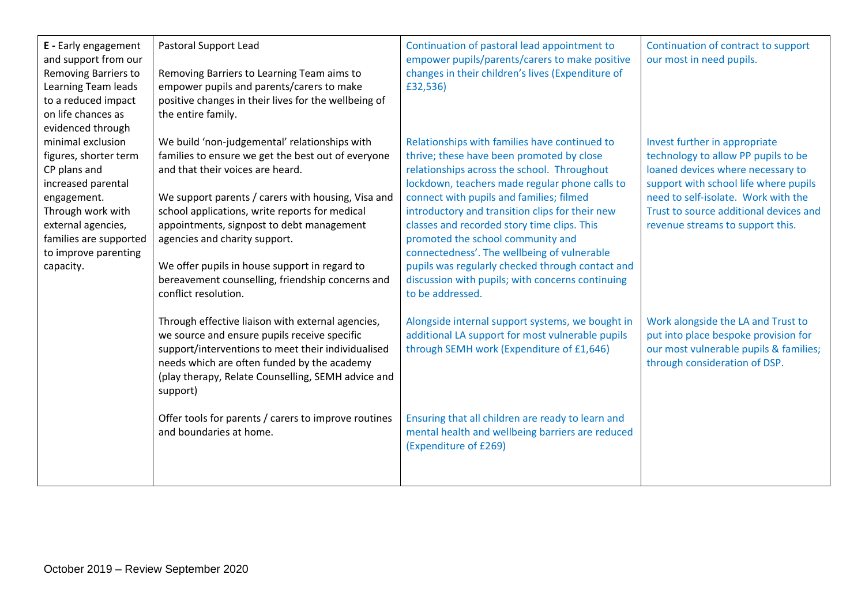| E - Early engagement<br>and support from our<br>Removing Barriers to<br>Learning Team leads<br>to a reduced impact<br>on life chances as<br>evidenced through | Pastoral Support Lead<br>Removing Barriers to Learning Team aims to<br>empower pupils and parents/carers to make<br>positive changes in their lives for the wellbeing of<br>the entire family.                                                                                                                  | Continuation of pastoral lead appointment to<br>empower pupils/parents/carers to make positive<br>changes in their children's lives (Expenditure of<br>£32,536)                                                                                                                                                                                            | Continuation of contract to support<br>our most in need pupils.                                                                                       |
|---------------------------------------------------------------------------------------------------------------------------------------------------------------|-----------------------------------------------------------------------------------------------------------------------------------------------------------------------------------------------------------------------------------------------------------------------------------------------------------------|------------------------------------------------------------------------------------------------------------------------------------------------------------------------------------------------------------------------------------------------------------------------------------------------------------------------------------------------------------|-------------------------------------------------------------------------------------------------------------------------------------------------------|
| minimal exclusion<br>figures, shorter term<br>CP plans and<br>increased parental                                                                              | We build 'non-judgemental' relationships with<br>families to ensure we get the best out of everyone<br>and that their voices are heard.                                                                                                                                                                         | Relationships with families have continued to<br>thrive; these have been promoted by close<br>relationships across the school. Throughout<br>lockdown, teachers made regular phone calls to                                                                                                                                                                | Invest further in appropriate<br>technology to allow PP pupils to be<br>loaned devices where necessary to<br>support with school life where pupils    |
| engagement.<br>Through work with<br>external agencies,<br>families are supported<br>to improve parenting<br>capacity.                                         | We support parents / carers with housing, Visa and<br>school applications, write reports for medical<br>appointments, signpost to debt management<br>agencies and charity support.<br>We offer pupils in house support in regard to<br>bereavement counselling, friendship concerns and<br>conflict resolution. | connect with pupils and families; filmed<br>introductory and transition clips for their new<br>classes and recorded story time clips. This<br>promoted the school community and<br>connectedness'. The wellbeing of vulnerable<br>pupils was regularly checked through contact and<br>discussion with pupils; with concerns continuing<br>to be addressed. | need to self-isolate. Work with the<br>Trust to source additional devices and<br>revenue streams to support this.                                     |
|                                                                                                                                                               | Through effective liaison with external agencies,<br>we source and ensure pupils receive specific<br>support/interventions to meet their individualised<br>needs which are often funded by the academy<br>(play therapy, Relate Counselling, SEMH advice and<br>support)                                        | Alongside internal support systems, we bought in<br>additional LA support for most vulnerable pupils<br>through SEMH work (Expenditure of £1,646)                                                                                                                                                                                                          | Work alongside the LA and Trust to<br>put into place bespoke provision for<br>our most vulnerable pupils & families;<br>through consideration of DSP. |
|                                                                                                                                                               | Offer tools for parents / carers to improve routines<br>and boundaries at home.                                                                                                                                                                                                                                 | Ensuring that all children are ready to learn and<br>mental health and wellbeing barriers are reduced<br>(Expenditure of £269)                                                                                                                                                                                                                             |                                                                                                                                                       |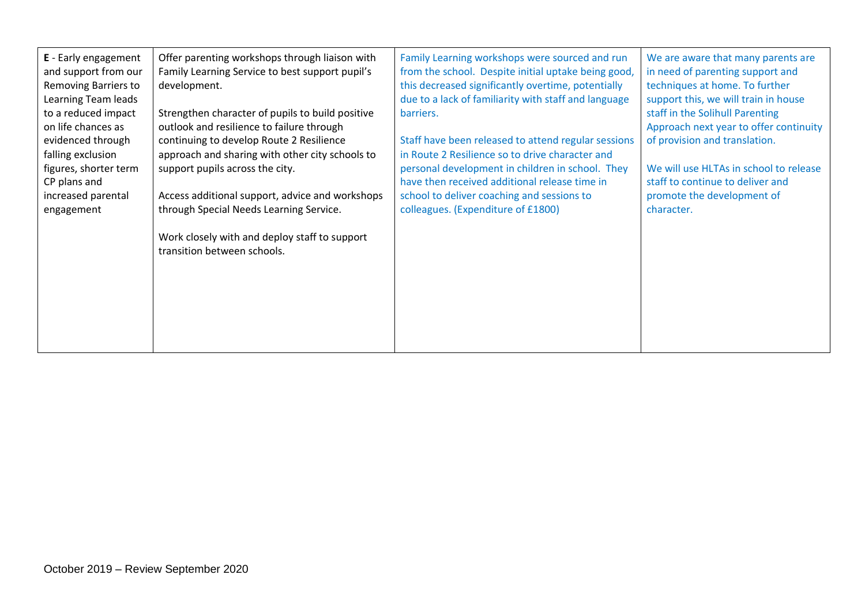| E - Early engagement<br>Offer parenting workshops through liaison with<br>Family Learning Service to best support pupil's<br>and support from our<br>Removing Barriers to<br>development.<br>Learning Team leads<br>to a reduced impact<br>Strengthen character of pupils to build positive<br>on life chances as<br>outlook and resilience to failure through<br>evidenced through<br>continuing to develop Route 2 Resilience<br>falling exclusion<br>approach and sharing with other city schools to<br>figures, shorter term<br>support pupils across the city.<br>CP plans and<br>increased parental<br>Access additional support, advice and workshops<br>through Special Needs Learning Service.<br>engagement<br>Work closely with and deploy staff to support<br>transition between schools. | Family Learning workshops were sourced and run<br>from the school. Despite initial uptake being good,<br>this decreased significantly overtime, potentially<br>due to a lack of familiarity with staff and language<br>barriers.<br>Staff have been released to attend regular sessions<br>in Route 2 Resilience so to drive character and<br>personal development in children in school. They<br>have then received additional release time in<br>school to deliver coaching and sessions to<br>colleagues. (Expenditure of £1800) | We are aware that many parents are<br>in need of parenting support and<br>techniques at home. To further<br>support this, we will train in house<br>staff in the Solihull Parenting<br>Approach next year to offer continuity<br>of provision and translation.<br>We will use HLTAs in school to release<br>staff to continue to deliver and<br>promote the development of<br>character. |
|-------------------------------------------------------------------------------------------------------------------------------------------------------------------------------------------------------------------------------------------------------------------------------------------------------------------------------------------------------------------------------------------------------------------------------------------------------------------------------------------------------------------------------------------------------------------------------------------------------------------------------------------------------------------------------------------------------------------------------------------------------------------------------------------------------|-------------------------------------------------------------------------------------------------------------------------------------------------------------------------------------------------------------------------------------------------------------------------------------------------------------------------------------------------------------------------------------------------------------------------------------------------------------------------------------------------------------------------------------|------------------------------------------------------------------------------------------------------------------------------------------------------------------------------------------------------------------------------------------------------------------------------------------------------------------------------------------------------------------------------------------|
|-------------------------------------------------------------------------------------------------------------------------------------------------------------------------------------------------------------------------------------------------------------------------------------------------------------------------------------------------------------------------------------------------------------------------------------------------------------------------------------------------------------------------------------------------------------------------------------------------------------------------------------------------------------------------------------------------------------------------------------------------------------------------------------------------------|-------------------------------------------------------------------------------------------------------------------------------------------------------------------------------------------------------------------------------------------------------------------------------------------------------------------------------------------------------------------------------------------------------------------------------------------------------------------------------------------------------------------------------------|------------------------------------------------------------------------------------------------------------------------------------------------------------------------------------------------------------------------------------------------------------------------------------------------------------------------------------------------------------------------------------------|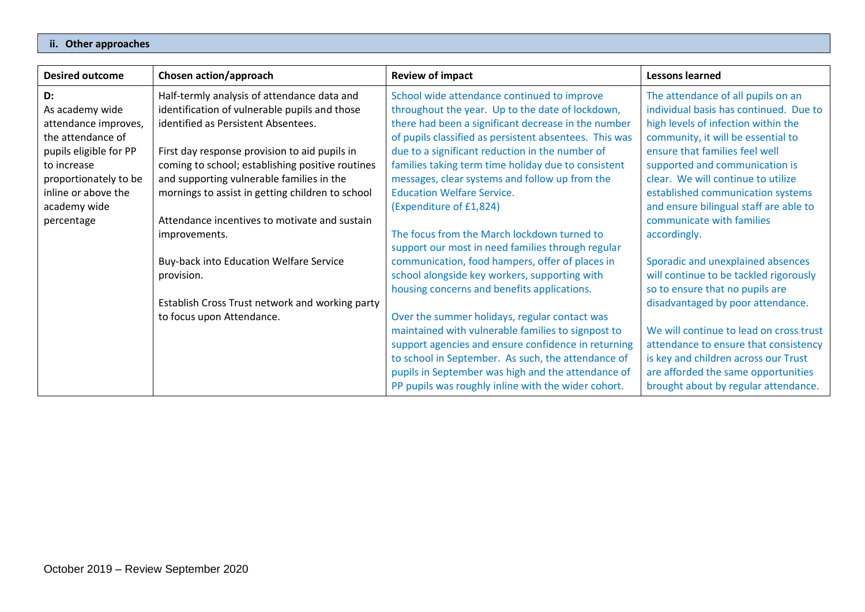#### **ii. Other approaches**

| <b>Desired outcome</b> | Chosen action/approach                           | <b>Review of impact</b>                                | <b>Lessons learned</b>                  |
|------------------------|--------------------------------------------------|--------------------------------------------------------|-----------------------------------------|
| D:                     | Half-termly analysis of attendance data and      | School wide attendance continued to improve            | The attendance of all pupils on an      |
| As academy wide        | identification of vulnerable pupils and those    | throughout the year. Up to the date of lockdown,       | individual basis has continued. Due to  |
| attendance improves,   | identified as Persistent Absentees.              | there had been a significant decrease in the number    | high levels of infection within the     |
| the attendance of      |                                                  | of pupils classified as persistent absentees. This was | community, it will be essential to      |
| pupils eligible for PP | First day response provision to aid pupils in    | due to a significant reduction in the number of        | ensure that families feel well          |
| to increase            | coming to school; establishing positive routines | families taking term time holiday due to consistent    | supported and communication is          |
| proportionately to be  | and supporting vulnerable families in the        | messages, clear systems and follow up from the         | clear. We will continue to utilize      |
| inline or above the    | mornings to assist in getting children to school | <b>Education Welfare Service.</b>                      | established communication systems       |
| academy wide           |                                                  | (Expenditure of £1,824)                                | and ensure bilingual staff are able to  |
| percentage             | Attendance incentives to motivate and sustain    |                                                        | communicate with families               |
|                        | improvements.                                    | The focus from the March lockdown turned to            | accordingly.                            |
|                        |                                                  | support our most in need families through regular      |                                         |
|                        | <b>Buy-back into Education Welfare Service</b>   | communication, food hampers, offer of places in        | Sporadic and unexplained absences       |
|                        | provision.                                       | school alongside key workers, supporting with          | will continue to be tackled rigorously  |
|                        |                                                  | housing concerns and benefits applications.            | so to ensure that no pupils are         |
|                        | Establish Cross Trust network and working party  |                                                        | disadvantaged by poor attendance.       |
|                        | to focus upon Attendance.                        | Over the summer holidays, regular contact was          |                                         |
|                        |                                                  | maintained with vulnerable families to signpost to     | We will continue to lead on cross trust |
|                        |                                                  | support agencies and ensure confidence in returning    | attendance to ensure that consistency   |
|                        |                                                  | to school in September. As such, the attendance of     | is key and children across our Trust    |
|                        |                                                  | pupils in September was high and the attendance of     | are afforded the same opportunities     |
|                        |                                                  | PP pupils was roughly inline with the wider cohort.    | brought about by regular attendance.    |